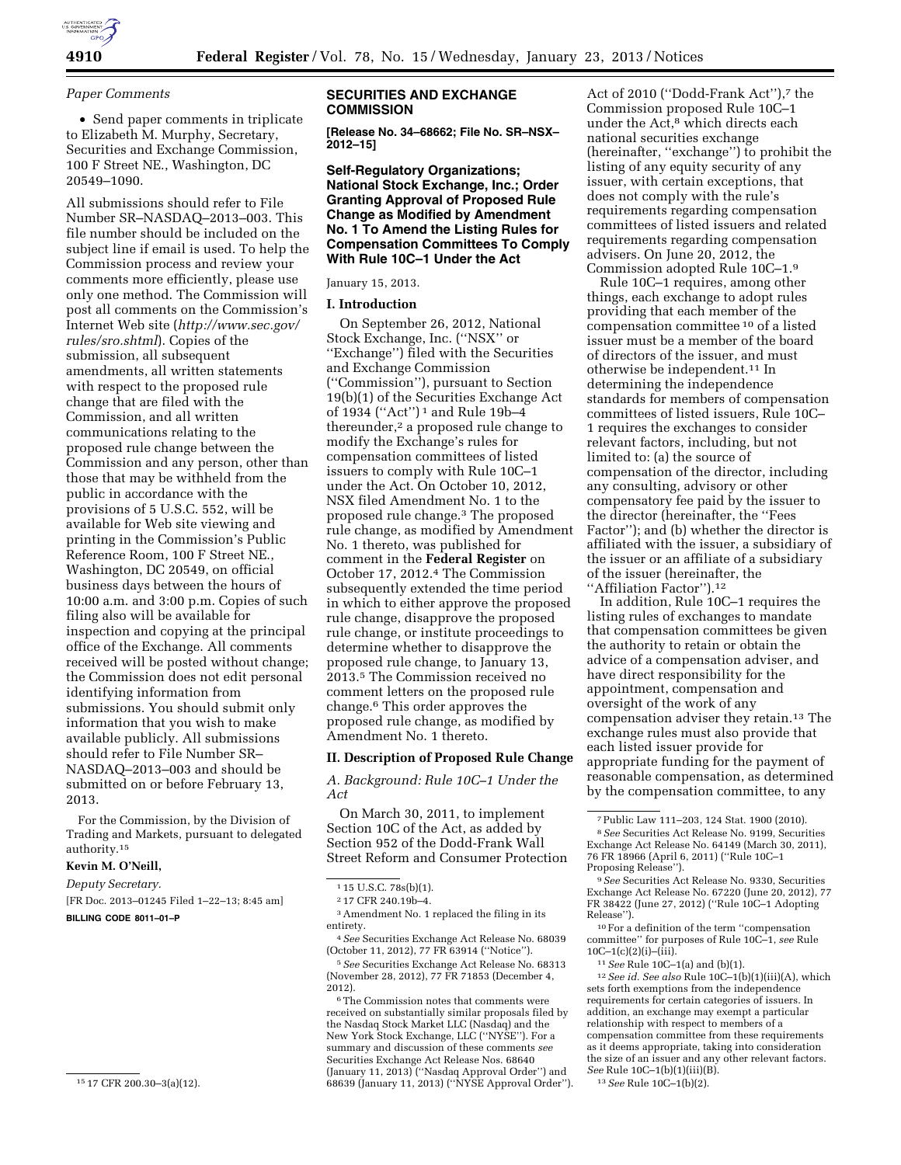

### *Paper Comments*

• Send paper comments in triplicate to Elizabeth M. Murphy, Secretary, Securities and Exchange Commission, 100 F Street NE., Washington, DC 20549–1090.

All submissions should refer to File Number SR–NASDAQ–2013–003. This file number should be included on the subject line if email is used. To help the Commission process and review your comments more efficiently, please use only one method. The Commission will post all comments on the Commission's Internet Web site (*[http://www.sec.gov/](http://www.sec.gov/rules/sro.shtml)  [rules/sro.shtml](http://www.sec.gov/rules/sro.shtml)*). Copies of the submission, all subsequent amendments, all written statements with respect to the proposed rule change that are filed with the Commission, and all written communications relating to the proposed rule change between the Commission and any person, other than those that may be withheld from the public in accordance with the provisions of 5 U.S.C. 552, will be available for Web site viewing and printing in the Commission's Public Reference Room, 100 F Street NE., Washington, DC 20549, on official business days between the hours of 10:00 a.m. and 3:00 p.m. Copies of such filing also will be available for inspection and copying at the principal office of the Exchange. All comments received will be posted without change; the Commission does not edit personal identifying information from submissions. You should submit only information that you wish to make available publicly. All submissions should refer to File Number SR– NASDAQ–2013–003 and should be submitted on or before February 13, 2013.

For the Commission, by the Division of Trading and Markets, pursuant to delegated authority.15

# **Kevin M. O'Neill,**

*Deputy Secretary.* 

[FR Doc. 2013–01245 Filed 1–22–13; 8:45 am] **BILLING CODE 8011–01–P** 

15 17 CFR 200.30–3(a)(12).

### **SECURITIES AND EXCHANGE COMMISSION**

**[Release No. 34–68662; File No. SR–NSX– 2012–15]** 

**Self-Regulatory Organizations; National Stock Exchange, Inc.; Order Granting Approval of Proposed Rule Change as Modified by Amendment No. 1 To Amend the Listing Rules for Compensation Committees To Comply With Rule 10C–1 Under the Act** 

January 15, 2013.

### **I. Introduction**

On September 26, 2012, National Stock Exchange, Inc. (''NSX'' or ''Exchange'') filed with the Securities and Exchange Commission (''Commission''), pursuant to Section 19(b)(1) of the Securities Exchange Act of 1934 (''Act'') 1 and Rule 19b–4 thereunder,<sup>2</sup> a proposed rule change to modify the Exchange's rules for compensation committees of listed issuers to comply with Rule 10C–1 under the Act. On October 10, 2012, NSX filed Amendment No. 1 to the proposed rule change.3 The proposed rule change, as modified by Amendment No. 1 thereto, was published for comment in the **Federal Register** on October 17, 2012.4 The Commission subsequently extended the time period in which to either approve the proposed rule change, disapprove the proposed rule change, or institute proceedings to determine whether to disapprove the proposed rule change, to January 13, 2013.5 The Commission received no comment letters on the proposed rule change.6 This order approves the proposed rule change, as modified by Amendment No. 1 thereto.

#### **II. Description of Proposed Rule Change**

*A. Background: Rule 10C–1 Under the Act* 

On March 30, 2011, to implement Section 10C of the Act, as added by Section 952 of the Dodd-Frank Wall Street Reform and Consumer Protection

 $^{\rm 3}$  Amendment No. 1 replaced the filing in its entirety.

5*See* Securities Exchange Act Release No. 68313 (November 28, 2012), 77 FR 71853 (December 4, 2012).

6The Commission notes that comments were received on substantially similar proposals filed by the Nasdaq Stock Market LLC (Nasdaq) and the New York Stock Exchange, LLC (''NYSE''). For a summary and discussion of these comments *see*  Securities Exchange Act Release Nos. 68640 (January 11, 2013) (''Nasdaq Approval Order'') and 68639 (January 11, 2013) (''NYSE Approval Order'').

Act of 2010 ("Dodd-Frank Act"),<sup>7</sup> the Commission proposed Rule 10C–1 under the Act,<sup>8</sup> which directs each national securities exchange (hereinafter, ''exchange'') to prohibit the listing of any equity security of any issuer, with certain exceptions, that does not comply with the rule's requirements regarding compensation committees of listed issuers and related requirements regarding compensation advisers. On June 20, 2012, the Commission adopted Rule 10C–1.9

Rule 10C–1 requires, among other things, each exchange to adopt rules providing that each member of the compensation committee 10 of a listed issuer must be a member of the board of directors of the issuer, and must otherwise be independent.11 In determining the independence standards for members of compensation committees of listed issuers, Rule 10C– 1 requires the exchanges to consider relevant factors, including, but not limited to: (a) the source of compensation of the director, including any consulting, advisory or other compensatory fee paid by the issuer to the director (hereinafter, the ''Fees Factor''); and (b) whether the director is affiliated with the issuer, a subsidiary of the issuer or an affiliate of a subsidiary of the issuer (hereinafter, the ''Affiliation Factor'').12

In addition, Rule 10C–1 requires the listing rules of exchanges to mandate that compensation committees be given the authority to retain or obtain the advice of a compensation adviser, and have direct responsibility for the appointment, compensation and oversight of the work of any compensation adviser they retain.13 The exchange rules must also provide that each listed issuer provide for appropriate funding for the payment of reasonable compensation, as determined by the compensation committee, to any

committee'' for purposes of Rule 10C–1, *see* Rule  $10C-1(c)(2)(i)$ –(iii).

11*See* Rule 10C–1(a) and (b)(1).

12*See id. See also* Rule 10C–1(b)(1)(iii)(A), which sets forth exemptions from the independence requirements for certain categories of issuers. In addition, an exchange may exempt a particular relationship with respect to members of a compensation committee from these requirements as it deems appropriate, taking into consideration the size of an issuer and any other relevant factors. *See* Rule 10C–1(b)(1)(iii)(B).

13*See* Rule 10C–1(b)(2).

<sup>1</sup> 15 U.S.C. 78s(b)(1).

<sup>2</sup> 17 CFR 240.19b–4.

<sup>4</sup>*See* Securities Exchange Act Release No. 68039 (October 11, 2012), 77 FR 63914 (''Notice'').

<sup>7</sup>Public Law 111–203, 124 Stat. 1900 (2010). 8*See* Securities Act Release No. 9199, Securities Exchange Act Release No. 64149 (March 30, 2011), 76 FR 18966 (April 6, 2011) (''Rule 10C–1

Proposing Release''). 9*See* Securities Act Release No. 9330, Securities Exchange Act Release No. 67220 (June 20, 2012), 77 FR 38422 (June 27, 2012) (''Rule 10C–1 Adopting Release''). 10For a definition of the term ''compensation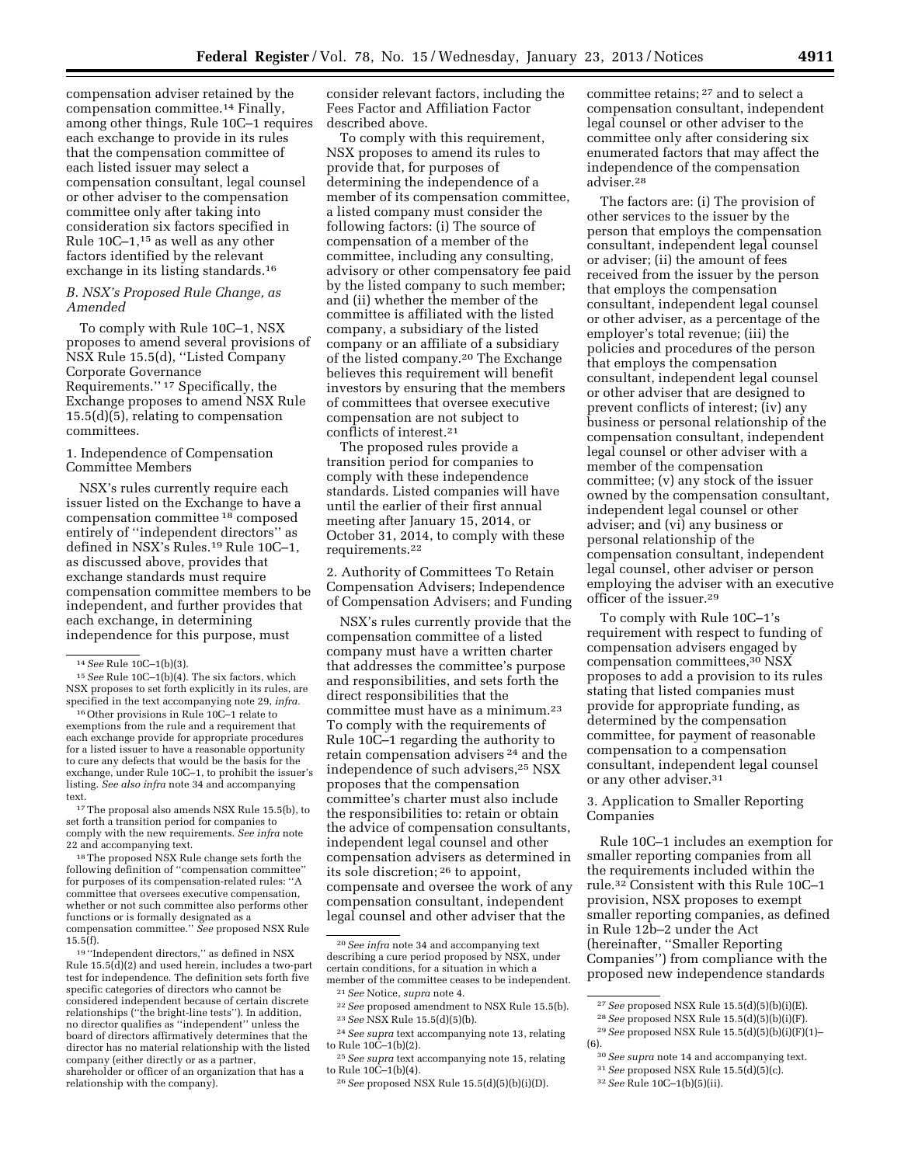compensation adviser retained by the compensation committee.14 Finally, among other things, Rule 10C–1 requires each exchange to provide in its rules that the compensation committee of each listed issuer may select a compensation consultant, legal counsel or other adviser to the compensation committee only after taking into consideration six factors specified in Rule 10C–1,15 as well as any other factors identified by the relevant exchange in its listing standards.<sup>16</sup>

# *B. NSX's Proposed Rule Change, as Amended*

To comply with Rule 10C–1, NSX proposes to amend several provisions of NSX Rule 15.5(d), ''Listed Company Corporate Governance Requirements.'' 17 Specifically, the Exchange proposes to amend NSX Rule 15.5(d)(5), relating to compensation committees.

### 1. Independence of Compensation Committee Members

NSX's rules currently require each issuer listed on the Exchange to have a compensation committee 18 composed entirely of ''independent directors'' as defined in NSX's Rules.19 Rule 10C–1, as discussed above, provides that exchange standards must require compensation committee members to be independent, and further provides that each exchange, in determining independence for this purpose, must

15*See* Rule 10C–1(b)(4). The six factors, which NSX proposes to set forth explicitly in its rules, are specified in the text accompanying note 29, *infra.* 

16Other provisions in Rule 10C–1 relate to exemptions from the rule and a requirement that each exchange provide for appropriate procedures for a listed issuer to have a reasonable opportunity to cure any defects that would be the basis for the exchange, under Rule 10C–1, to prohibit the issuer's listing. *See also infra* note 34 and accompanying text.

17The proposal also amends NSX Rule 15.5(b), to set forth a transition period for companies to comply with the new requirements. *See infra* note 22 and accompanying text.

18The proposed NSX Rule change sets forth the following definition of ''compensation committee'' for purposes of its compensation-related rules: ''A committee that oversees executive compensation, whether or not such committee also performs other functions or is formally designated as a compensation committee.'' *See* proposed NSX Rule 15.5(f).

19 ''Independent directors,'' as defined in NSX Rule 15.5(d)(2) and used herein, includes a two-part test for independence. The definition sets forth five specific categories of directors who cannot be considered independent because of certain discrete relationships (''the bright-line tests''). In addition, no director qualifies as ''independent'' unless the board of directors affirmatively determines that the director has no material relationship with the listed company (either directly or as a partner, shareholder or officer of an organization that has a relationship with the company).

consider relevant factors, including the Fees Factor and Affiliation Factor described above.

To comply with this requirement, NSX proposes to amend its rules to provide that, for purposes of determining the independence of a member of its compensation committee, a listed company must consider the following factors: (i) The source of compensation of a member of the committee, including any consulting, advisory or other compensatory fee paid by the listed company to such member; and (ii) whether the member of the committee is affiliated with the listed company, a subsidiary of the listed company or an affiliate of a subsidiary of the listed company.20 The Exchange believes this requirement will benefit investors by ensuring that the members of committees that oversee executive compensation are not subject to conflicts of interest.21

The proposed rules provide a transition period for companies to comply with these independence standards. Listed companies will have until the earlier of their first annual meeting after January 15, 2014, or October 31, 2014, to comply with these requirements.22

2. Authority of Committees To Retain Compensation Advisers; Independence of Compensation Advisers; and Funding

NSX's rules currently provide that the compensation committee of a listed company must have a written charter that addresses the committee's purpose and responsibilities, and sets forth the direct responsibilities that the committee must have as a minimum.23 To comply with the requirements of Rule 10C–1 regarding the authority to retain compensation advisers 24 and the independence of such advisers,25 NSX proposes that the compensation committee's charter must also include the responsibilities to: retain or obtain the advice of compensation consultants, independent legal counsel and other compensation advisers as determined in its sole discretion; 26 to appoint, compensate and oversee the work of any compensation consultant, independent legal counsel and other adviser that the

committee retains; 27 and to select a compensation consultant, independent legal counsel or other adviser to the committee only after considering six enumerated factors that may affect the independence of the compensation adviser.28

The factors are: (i) The provision of other services to the issuer by the person that employs the compensation consultant, independent legal counsel or adviser; (ii) the amount of fees received from the issuer by the person that employs the compensation consultant, independent legal counsel or other adviser, as a percentage of the employer's total revenue; (iii) the policies and procedures of the person that employs the compensation consultant, independent legal counsel or other adviser that are designed to prevent conflicts of interest; (iv) any business or personal relationship of the compensation consultant, independent legal counsel or other adviser with a member of the compensation committee; (v) any stock of the issuer owned by the compensation consultant, independent legal counsel or other adviser; and (vi) any business or personal relationship of the compensation consultant, independent legal counsel, other adviser or person employing the adviser with an executive officer of the issuer.29

To comply with Rule 10C–1's requirement with respect to funding of compensation advisers engaged by compensation committees,30 NSX proposes to add a provision to its rules stating that listed companies must provide for appropriate funding, as determined by the compensation committee, for payment of reasonable compensation to a compensation consultant, independent legal counsel or any other adviser.31

3. Application to Smaller Reporting Companies

Rule 10C–1 includes an exemption for smaller reporting companies from all the requirements included within the rule.32 Consistent with this Rule 10C–1 provision, NSX proposes to exempt smaller reporting companies, as defined in Rule 12b–2 under the Act (hereinafter, ''Smaller Reporting Companies'') from compliance with the proposed new independence standards

<sup>14</sup>*See* Rule 10C–1(b)(3).

<sup>20</sup>*See infra* note 34 and accompanying text describing a cure period proposed by NSX, under certain conditions, for a situation in which a member of the committee ceases to be independent.

<sup>21</sup>*See* Notice, *supra* note 4.

<sup>22</sup>*See* proposed amendment to NSX Rule 15.5(b). 23*See* NSX Rule 15.5(d)(5)(b).

<sup>24</sup>*See supra* text accompanying note 13, relating to Rule  $10C-1(b)(2)$ .

<sup>25</sup>*See supra* text accompanying note 15, relating to Rule 10C–1(b)(4).

<sup>26</sup>*See* proposed NSX Rule 15.5(d)(5)(b)(i)(D).

<sup>27</sup>*See* proposed NSX Rule 15.5(d)(5)(b)(i)(E).

<sup>28</sup>*See* proposed NSX Rule 15.5(d)(5)(b)(i)(F).

<sup>29</sup>*See* proposed NSX Rule 15.5(d)(5)(b)(i)(F)(1)– (6).

<sup>30</sup>*See supra* note 14 and accompanying text. 31*See* proposed NSX Rule 15.5(d)(5)(c).

<sup>32</sup>*See* Rule 10C–1(b)(5)(ii).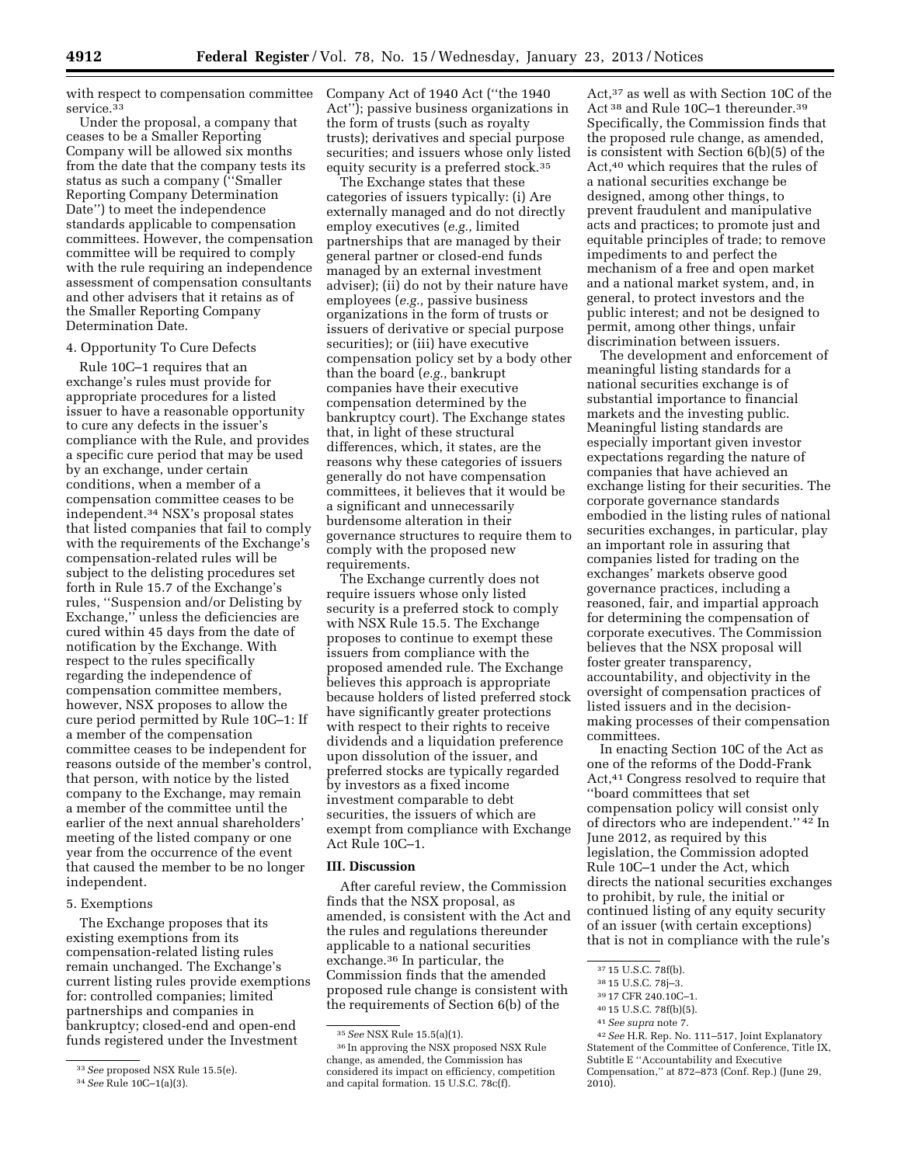with respect to compensation committee service.<sup>33</sup>

Under the proposal, a company that ceases to be a Smaller Reporting Company will be allowed six months from the date that the company tests its status as such a company (''Smaller Reporting Company Determination Date'') to meet the independence standards applicable to compensation committees. However, the compensation committee will be required to comply with the rule requiring an independence assessment of compensation consultants and other advisers that it retains as of the Smaller Reporting Company Determination Date.

#### 4. Opportunity To Cure Defects

Rule 10C–1 requires that an exchange's rules must provide for appropriate procedures for a listed issuer to have a reasonable opportunity to cure any defects in the issuer's compliance with the Rule, and provides a specific cure period that may be used by an exchange, under certain conditions, when a member of a compensation committee ceases to be independent.34 NSX's proposal states that listed companies that fail to comply with the requirements of the Exchange's compensation-related rules will be subject to the delisting procedures set forth in Rule 15.7 of the Exchange's rules, ''Suspension and/or Delisting by Exchange,'' unless the deficiencies are cured within 45 days from the date of notification by the Exchange. With respect to the rules specifically regarding the independence of compensation committee members, however, NSX proposes to allow the cure period permitted by Rule 10C–1: If a member of the compensation committee ceases to be independent for reasons outside of the member's control, that person, with notice by the listed company to the Exchange, may remain a member of the committee until the earlier of the next annual shareholders' meeting of the listed company or one year from the occurrence of the event that caused the member to be no longer independent.

# 5. Exemptions

The Exchange proposes that its existing exemptions from its compensation-related listing rules remain unchanged. The Exchange's current listing rules provide exemptions for: controlled companies; limited partnerships and companies in bankruptcy; closed-end and open-end funds registered under the Investment

Company Act of 1940 Act (''the 1940 Act''); passive business organizations in the form of trusts (such as royalty trusts); derivatives and special purpose securities; and issuers whose only listed equity security is a preferred stock.35

The Exchange states that these categories of issuers typically: (i) Are externally managed and do not directly employ executives (*e.g.,* limited partnerships that are managed by their general partner or closed-end funds managed by an external investment adviser); (ii) do not by their nature have employees (*e.g.,* passive business organizations in the form of trusts or issuers of derivative or special purpose securities); or (iii) have executive compensation policy set by a body other than the board (*e.g.,* bankrupt companies have their executive compensation determined by the bankruptcy court). The Exchange states that, in light of these structural differences, which, it states, are the reasons why these categories of issuers generally do not have compensation committees, it believes that it would be a significant and unnecessarily burdensome alteration in their governance structures to require them to comply with the proposed new requirements.

The Exchange currently does not require issuers whose only listed security is a preferred stock to comply with NSX Rule 15.5. The Exchange proposes to continue to exempt these issuers from compliance with the proposed amended rule. The Exchange believes this approach is appropriate because holders of listed preferred stock have significantly greater protections with respect to their rights to receive dividends and a liquidation preference upon dissolution of the issuer, and preferred stocks are typically regarded by investors as a fixed income investment comparable to debt securities, the issuers of which are exempt from compliance with Exchange Act Rule 10C–1.

#### **III. Discussion**

After careful review, the Commission finds that the NSX proposal, as amended, is consistent with the Act and the rules and regulations thereunder applicable to a national securities exchange.36 In particular, the Commission finds that the amended proposed rule change is consistent with the requirements of Section 6(b) of the

Act,37 as well as with Section 10C of the Act 38 and Rule 10C–1 thereunder.39 Specifically, the Commission finds that the proposed rule change, as amended, is consistent with Section 6(b)(5) of the Act,40 which requires that the rules of a national securities exchange be designed, among other things, to prevent fraudulent and manipulative acts and practices; to promote just and equitable principles of trade; to remove impediments to and perfect the mechanism of a free and open market and a national market system, and, in general, to protect investors and the public interest; and not be designed to permit, among other things, unfair discrimination between issuers.

The development and enforcement of meaningful listing standards for a national securities exchange is of substantial importance to financial markets and the investing public. Meaningful listing standards are especially important given investor expectations regarding the nature of companies that have achieved an exchange listing for their securities. The corporate governance standards embodied in the listing rules of national securities exchanges, in particular, play an important role in assuring that companies listed for trading on the exchanges' markets observe good governance practices, including a reasoned, fair, and impartial approach for determining the compensation of corporate executives. The Commission believes that the NSX proposal will foster greater transparency, accountability, and objectivity in the oversight of compensation practices of listed issuers and in the decisionmaking processes of their compensation committees.

In enacting Section 10C of the Act as one of the reforms of the Dodd-Frank Act,41 Congress resolved to require that ''board committees that set compensation policy will consist only of directors who are independent.'' 42 In June 2012, as required by this legislation, the Commission adopted Rule 10C–1 under the Act, which directs the national securities exchanges to prohibit, by rule, the initial or continued listing of any equity security of an issuer (with certain exceptions) that is not in compliance with the rule's

41*See supra* note 7.

42*See* H.R. Rep. No. 111–517, Joint Explanatory Statement of the Committee of Conference, Title IX, Subtitle E ''Accountability and Executive Compensation,'' at 872–873 (Conf. Rep.) (June 29, 2010).

<sup>33</sup>*See* proposed NSX Rule 15.5(e).

<sup>34</sup>*See* Rule 10C–1(a)(3).

<sup>35</sup>*See* NSX Rule 15.5(a)(1).

<sup>36</sup> In approving the NSX proposed NSX Rule change, as amended, the Commission has considered its impact on efficiency, competition and capital formation. 15 U.S.C. 78c(f).

<sup>37</sup> 15 U.S.C. 78f(b).

<sup>38</sup> 15 U.S.C. 78j–3.

<sup>39</sup> 17 CFR 240.10C–1.

<sup>40</sup> 15 U.S.C. 78f(b)(5).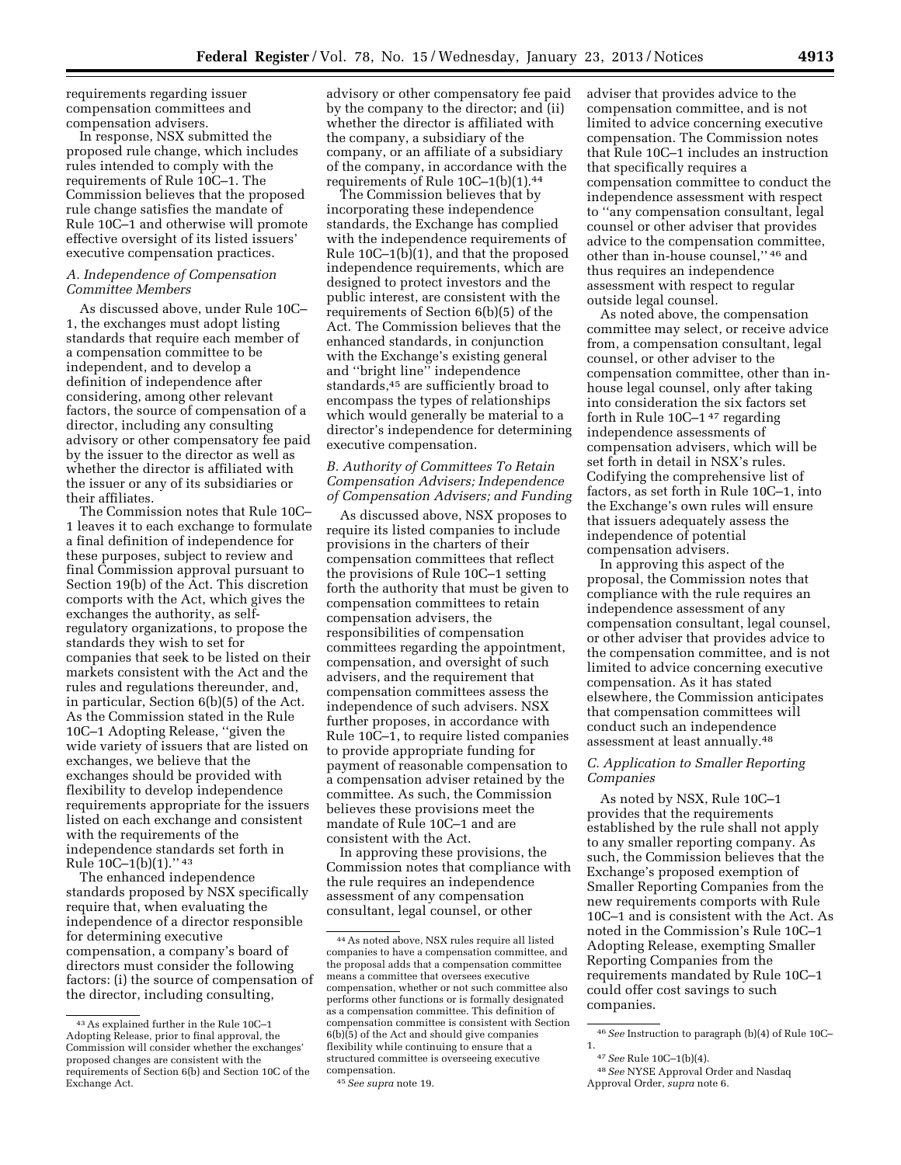requirements regarding issuer compensation committees and compensation advisers.

In response, NSX submitted the proposed rule change, which includes rules intended to comply with the requirements of Rule 10C–1. The Commission believes that the proposed rule change satisfies the mandate of Rule 10C–1 and otherwise will promote effective oversight of its listed issuers' executive compensation practices.

# *A. Independence of Compensation Committee Members*

As discussed above, under Rule 10C– 1, the exchanges must adopt listing standards that require each member of a compensation committee to be independent, and to develop a definition of independence after considering, among other relevant factors, the source of compensation of a director, including any consulting advisory or other compensatory fee paid by the issuer to the director as well as whether the director is affiliated with the issuer or any of its subsidiaries or their affiliates.

The Commission notes that Rule 10C– 1 leaves it to each exchange to formulate a final definition of independence for these purposes, subject to review and final Commission approval pursuant to Section 19(b) of the Act. This discretion comports with the Act, which gives the exchanges the authority, as selfregulatory organizations, to propose the standards they wish to set for companies that seek to be listed on their markets consistent with the Act and the rules and regulations thereunder, and, in particular, Section 6(b)(5) of the Act. As the Commission stated in the Rule 10C–1 Adopting Release, ''given the wide variety of issuers that are listed on exchanges, we believe that the exchanges should be provided with flexibility to develop independence requirements appropriate for the issuers listed on each exchange and consistent with the requirements of the independence standards set forth in Rule 10C–1(b)(1).'' 43

The enhanced independence standards proposed by NSX specifically require that, when evaluating the independence of a director responsible for determining executive compensation, a company's board of directors must consider the following factors: (i) the source of compensation of the director, including consulting,

advisory or other compensatory fee paid by the company to the director; and (ii) whether the director is affiliated with the company, a subsidiary of the company, or an affiliate of a subsidiary of the company, in accordance with the requirements of Rule 10C–1(b)(1).44

The Commission believes that by incorporating these independence standards, the Exchange has complied with the independence requirements of Rule 10C–1(b)(1), and that the proposed independence requirements, which are designed to protect investors and the public interest, are consistent with the requirements of Section 6(b)(5) of the Act. The Commission believes that the enhanced standards, in conjunction with the Exchange's existing general and ''bright line'' independence standards,45 are sufficiently broad to encompass the types of relationships which would generally be material to a director's independence for determining executive compensation.

### *B. Authority of Committees To Retain Compensation Advisers; Independence of Compensation Advisers; and Funding*

As discussed above, NSX proposes to require its listed companies to include provisions in the charters of their compensation committees that reflect the provisions of Rule 10C–1 setting forth the authority that must be given to compensation committees to retain compensation advisers, the responsibilities of compensation committees regarding the appointment, compensation, and oversight of such advisers, and the requirement that compensation committees assess the independence of such advisers. NSX further proposes, in accordance with Rule 10C–1, to require listed companies to provide appropriate funding for payment of reasonable compensation to a compensation adviser retained by the committee. As such, the Commission believes these provisions meet the mandate of Rule 10C–1 and are consistent with the Act.

In approving these provisions, the Commission notes that compliance with the rule requires an independence assessment of any compensation consultant, legal counsel, or other

adviser that provides advice to the compensation committee, and is not limited to advice concerning executive compensation. The Commission notes that Rule 10C–1 includes an instruction that specifically requires a compensation committee to conduct the independence assessment with respect to ''any compensation consultant, legal counsel or other adviser that provides advice to the compensation committee, other than in-house counsel,'' 46 and thus requires an independence assessment with respect to regular outside legal counsel.

As noted above, the compensation committee may select, or receive advice from, a compensation consultant, legal counsel, or other adviser to the compensation committee, other than inhouse legal counsel, only after taking into consideration the six factors set forth in Rule 10C–1 47 regarding independence assessments of compensation advisers, which will be set forth in detail in NSX's rules. Codifying the comprehensive list of factors, as set forth in Rule 10C–1, into the Exchange's own rules will ensure that issuers adequately assess the independence of potential compensation advisers.

In approving this aspect of the proposal, the Commission notes that compliance with the rule requires an independence assessment of any compensation consultant, legal counsel, or other adviser that provides advice to the compensation committee, and is not limited to advice concerning executive compensation. As it has stated elsewhere, the Commission anticipates that compensation committees will conduct such an independence assessment at least annually.48

#### *C. Application to Smaller Reporting Companies*

As noted by NSX, Rule 10C–1 provides that the requirements established by the rule shall not apply to any smaller reporting company. As such, the Commission believes that the Exchange's proposed exemption of Smaller Reporting Companies from the new requirements comports with Rule 10C–1 and is consistent with the Act. As noted in the Commission's Rule 10C–1 Adopting Release, exempting Smaller Reporting Companies from the requirements mandated by Rule 10C–1 could offer cost savings to such companies.

1.

<sup>43</sup>As explained further in the Rule 10C–1 Adopting Release, prior to final approval, the Commission will consider whether the exchanges' proposed changes are consistent with the requirements of Section 6(b) and Section 10C of the Exchange Act.

<sup>44</sup>As noted above, NSX rules require all listed companies to have a compensation committee, and the proposal adds that a compensation committee means a committee that oversees executive compensation, whether or not such committee also performs other functions or is formally designated as a compensation committee. This definition of compensation committee is consistent with Section 6(b)(5) of the Act and should give companies flexibility while continuing to ensure that a structured committee is overseeing executive compensation.

<sup>45</sup>*See supra* note 19.

<sup>46</sup>*See* Instruction to paragraph (b)(4) of Rule 10C–

<sup>47</sup>*See* Rule 10C–1(b)(4).

<sup>48</sup>*See* NYSE Approval Order and Nasdaq Approval Order, *supra* note 6.